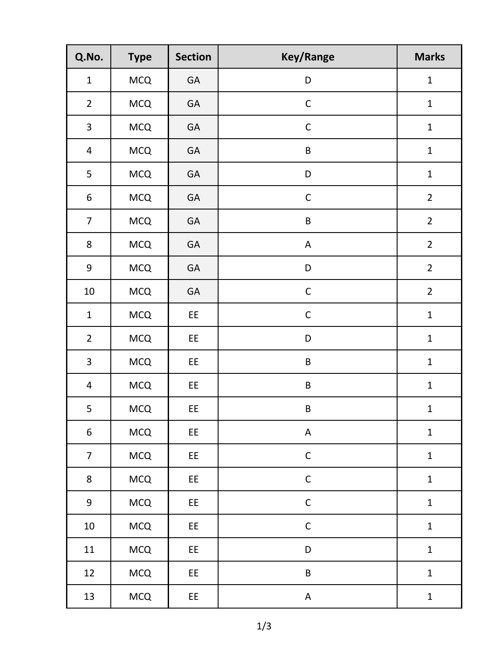| Q.No.                   | <b>Type</b> | <b>Section</b> | <b>Key/Range</b>          | <b>Marks</b>   |
|-------------------------|-------------|----------------|---------------------------|----------------|
| $\mathbf 1$             | <b>MCQ</b>  | GA             | D                         | $\mathbf{1}$   |
| $\overline{2}$          | <b>MCQ</b>  | GA             | $\mathsf C$               | $\mathbf 1$    |
| $\overline{\mathbf{3}}$ | <b>MCQ</b>  | GA             | $\mathsf C$               | $\mathbf{1}$   |
| $\overline{4}$          | <b>MCQ</b>  | GA             | $\sf B$                   | $\mathbf 1$    |
| 5                       | <b>MCQ</b>  | GA             | D                         | $\mathbf{1}$   |
| $\boldsymbol{6}$        | <b>MCQ</b>  | GA             | $\mathsf C$               | $\overline{2}$ |
| $\overline{7}$          | MCQ         | GA             | $\sf B$                   | $\overline{2}$ |
| $\bf 8$                 | <b>MCQ</b>  | GA             | A                         | $\overline{2}$ |
| $\boldsymbol{9}$        | MCQ         | GA             | D                         | $\overline{2}$ |
| $10\,$                  | <b>MCQ</b>  | GA             | $\mathsf C$               | $\overline{2}$ |
| $\mathbf 1$             | <b>MCQ</b>  | EE             | $\mathsf C$               | $\mathbf{1}$   |
| $\overline{2}$          | <b>MCQ</b>  | EE             | D                         | $\mathbf 1$    |
| $\overline{\mathbf{3}}$ | <b>MCQ</b>  | EE             | $\sf B$                   | $\mathbf{1}$   |
| $\overline{4}$          | MCQ         | EE             | $\sf B$                   | $\mathbf{1}$   |
| 5                       | MCQ         | EE             | $\sf B$                   | $\mathbf{1}$   |
| 6                       | MCQ         | EE             | $\mathsf A$               | $\mathbf 1$    |
| $\overline{7}$          | MCQ         | EE             | $\mathsf C$               | $\mathbf{1}$   |
| $\bf 8$                 | <b>MCQ</b>  | EE             | $\mathsf C$               | $\mathbf 1$    |
| $\boldsymbol{9}$        | MCQ         | EE             | $\mathsf C$               | $\mathbf 1$    |
| $10\,$                  | MCQ         | EE             | $\mathsf C$               | $\mathbf 1$    |
| 11                      | MCQ         | EE             | $\mathsf D$               | $\mathbf{1}$   |
| 12                      | MCQ         | EE             | $\sf B$                   | $\mathbf 1$    |
| 13                      | MCQ         | EE             | $\boldsymbol{\mathsf{A}}$ | $\mathbf{1}$   |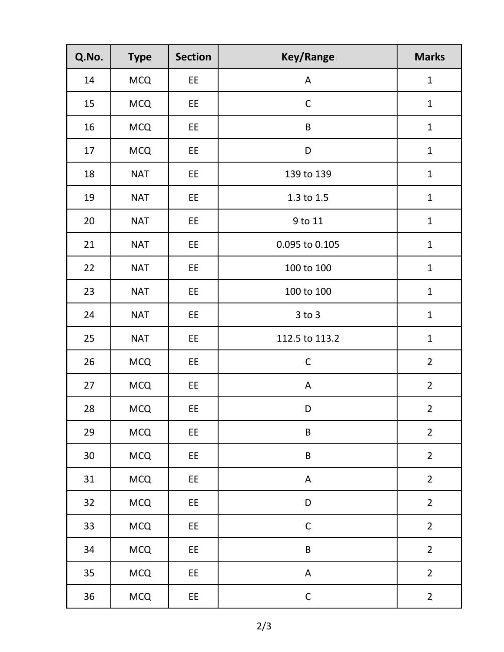| Q.No. | <b>Type</b> | <b>Section</b> | <b>Key/Range</b> | <b>Marks</b>   |
|-------|-------------|----------------|------------------|----------------|
| 14    | <b>MCQ</b>  | EE             | A                | $\mathbf{1}$   |
| 15    | <b>MCQ</b>  | EE             | $\mathsf C$      | $\mathbf{1}$   |
| 16    | <b>MCQ</b>  | EE             | $\sf B$          | $\mathbf{1}$   |
| 17    | <b>MCQ</b>  | EE             | D                | $\mathbf{1}$   |
| 18    | <b>NAT</b>  | EE             | 139 to 139       | $\mathbf{1}$   |
| 19    | <b>NAT</b>  | EE             | 1.3 to 1.5       | $\mathbf{1}$   |
| 20    | <b>NAT</b>  | EE             | 9 to 11          | $\mathbf{1}$   |
| 21    | <b>NAT</b>  | EE             | 0.095 to 0.105   | $\mathbf{1}$   |
| 22    | <b>NAT</b>  | EE             | 100 to 100       | $\mathbf{1}$   |
| 23    | <b>NAT</b>  | EE             | 100 to 100       | $\mathbf{1}$   |
| 24    | <b>NAT</b>  | EE             | $3$ to $3$       | $\mathbf{1}$   |
| 25    | <b>NAT</b>  | EE             | 112.5 to 113.2   | $\mathbf{1}$   |
| 26    | <b>MCQ</b>  | EE             | $\mathsf C$      | $\overline{2}$ |
| 27    | <b>MCQ</b>  | EE             | $\mathsf A$      | $\overline{2}$ |
| 28    | <b>MCQ</b>  | EE             | D                | $\overline{2}$ |
| 29    | MCQ         | EE             | B                | $\overline{2}$ |
| 30    | <b>MCQ</b>  | EE             | $\sf B$          | $\overline{2}$ |
| 31    | <b>MCQ</b>  | EE             | $\mathsf A$      | $\overline{2}$ |
| 32    | <b>MCQ</b>  | EE             | D                | $\overline{2}$ |
| 33    | <b>MCQ</b>  | EE             | $\mathsf C$      | $\overline{2}$ |
| 34    | MCQ         | EE             | $\sf B$          | $\overline{2}$ |
| 35    | <b>MCQ</b>  | EE             | $\mathsf A$      | $\overline{2}$ |
| 36    | MCQ         | EE             | $\mathsf C$      | $\overline{2}$ |